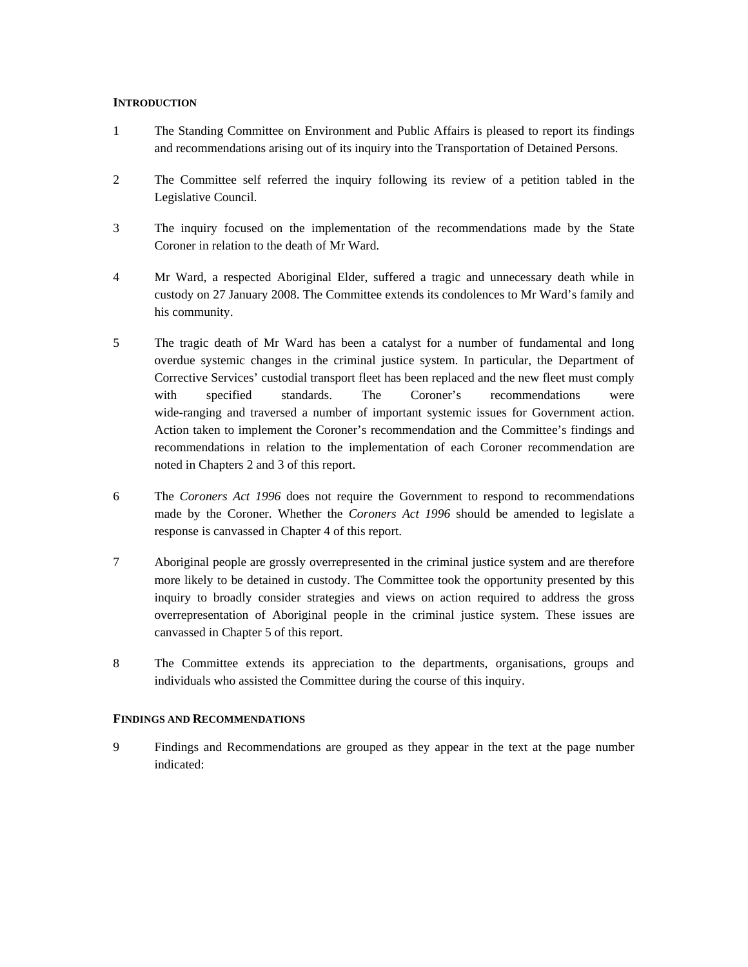## **INTRODUCTION**

- 1 The Standing Committee on Environment and Public Affairs is pleased to report its findings and recommendations arising out of its inquiry into the Transportation of Detained Persons.
- 2 The Committee self referred the inquiry following its review of a petition tabled in the Legislative Council.
- 3 The inquiry focused on the implementation of the recommendations made by the State Coroner in relation to the death of Mr Ward.
- 4 Mr Ward, a respected Aboriginal Elder, suffered a tragic and unnecessary death while in custody on 27 January 2008. The Committee extends its condolences to Mr Ward's family and his community.
- 5 The tragic death of Mr Ward has been a catalyst for a number of fundamental and long overdue systemic changes in the criminal justice system. In particular, the Department of Corrective Services' custodial transport fleet has been replaced and the new fleet must comply with specified standards. The Coroner's recommendations were wide-ranging and traversed a number of important systemic issues for Government action. Action taken to implement the Coroner's recommendation and the Committee's findings and recommendations in relation to the implementation of each Coroner recommendation are noted in Chapters 2 and 3 of this report.
- 6 The *Coroners Act 1996* does not require the Government to respond to recommendations made by the Coroner. Whether the *Coroners Act 1996* should be amended to legislate a response is canvassed in Chapter 4 of this report.
- 7 Aboriginal people are grossly overrepresented in the criminal justice system and are therefore more likely to be detained in custody. The Committee took the opportunity presented by this inquiry to broadly consider strategies and views on action required to address the gross overrepresentation of Aboriginal people in the criminal justice system. These issues are canvassed in Chapter 5 of this report.
- 8 The Committee extends its appreciation to the departments, organisations, groups and individuals who assisted the Committee during the course of this inquiry.

## **FINDINGS AND RECOMMENDATIONS**

9 Findings and Recommendations are grouped as they appear in the text at the page number indicated: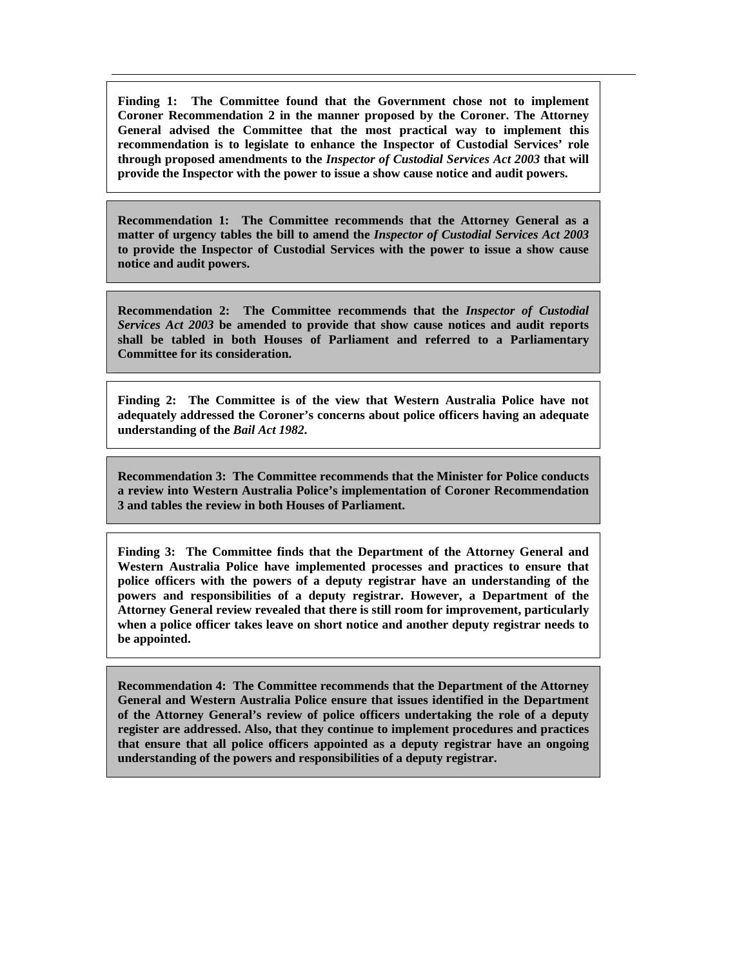**Finding 1: The Committee found that the Government chose not to implement Coroner Recommendation 2 in the manner proposed by the Coroner. The Attorney General advised the Committee that the most practical way to implement this recommendation is to legislate to enhance the Inspector of Custodial Services' role through proposed amendments to the** *Inspector of Custodial Services Act 2003* **that will provide the Inspector with the power to issue a show cause notice and audit powers.** 

**Recommendation 1: The Committee recommends that the Attorney General as a matter of urgency tables the bill to amend the** *Inspector of Custodial Services Act 2003* **to provide the Inspector of Custodial Services with the power to issue a show cause notice and audit powers.** 

**Recommendation 2: The Committee recommends that the** *Inspector of Custodial Services Act 2003* **be amended to provide that show cause notices and audit reports shall be tabled in both Houses of Parliament and referred to a Parliamentary Committee for its consideration.** 

**Finding 2: The Committee is of the view that Western Australia Police have not adequately addressed the Coroner's concerns about police officers having an adequate understanding of the** *Bail Act 1982***.** 

**Recommendation 3: The Committee recommends that the Minister for Police conducts a review into Western Australia Police's implementation of Coroner Recommendation 3 and tables the review in both Houses of Parliament.** 

**Finding 3: The Committee finds that the Department of the Attorney General and Western Australia Police have implemented processes and practices to ensure that police officers with the powers of a deputy registrar have an understanding of the powers and responsibilities of a deputy registrar. However, a Department of the Attorney General review revealed that there is still room for improvement, particularly when a police officer takes leave on short notice and another deputy registrar needs to be appointed.** 

**Recommendation 4: The Committee recommends that the Department of the Attorney General and Western Australia Police ensure that issues identified in the Department of the Attorney General's review of police officers undertaking the role of a deputy register are addressed. Also, that they continue to implement procedures and practices that ensure that all police officers appointed as a deputy registrar have an ongoing understanding of the powers and responsibilities of a deputy registrar.**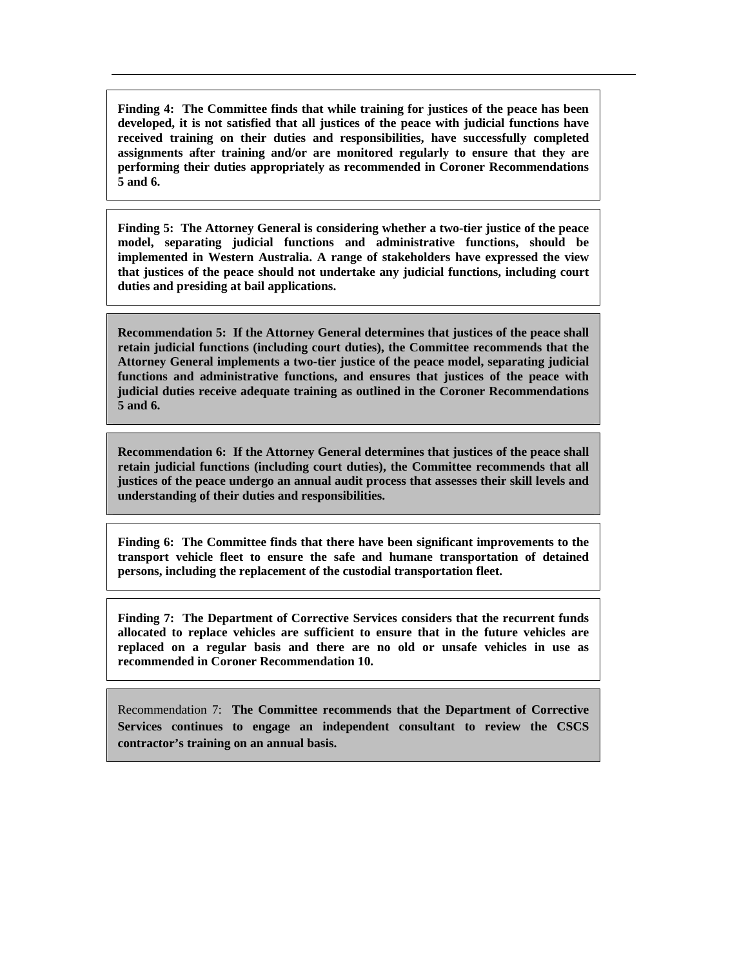**Finding 4: The Committee finds that while training for justices of the peace has been developed, it is not satisfied that all justices of the peace with judicial functions have received training on their duties and responsibilities, have successfully completed assignments after training and/or are monitored regularly to ensure that they are performing their duties appropriately as recommended in Coroner Recommendations 5 and 6.** 

**Finding 5: The Attorney General is considering whether a two-tier justice of the peace model, separating judicial functions and administrative functions, should be implemented in Western Australia. A range of stakeholders have expressed the view that justices of the peace should not undertake any judicial functions, including court duties and presiding at bail applications.** 

**Recommendation 5: If the Attorney General determines that justices of the peace shall retain judicial functions (including court duties), the Committee recommends that the Attorney General implements a two-tier justice of the peace model, separating judicial functions and administrative functions, and ensures that justices of the peace with judicial duties receive adequate training as outlined in the Coroner Recommendations 5 and 6.** 

**Recommendation 6: If the Attorney General determines that justices of the peace shall retain judicial functions (including court duties), the Committee recommends that all justices of the peace undergo an annual audit process that assesses their skill levels and understanding of their duties and responsibilities.** 

**Finding 6: The Committee finds that there have been significant improvements to the transport vehicle fleet to ensure the safe and humane transportation of detained persons, including the replacement of the custodial transportation fleet.** 

**Finding 7: The Department of Corrective Services considers that the recurrent funds allocated to replace vehicles are sufficient to ensure that in the future vehicles are replaced on a regular basis and there are no old or unsafe vehicles in use as recommended in Coroner Recommendation 10.** 

Recommendation 7: **The Committee recommends that the Department of Corrective Services continues to engage an independent consultant to review the CSCS contractor's training on an annual basis.**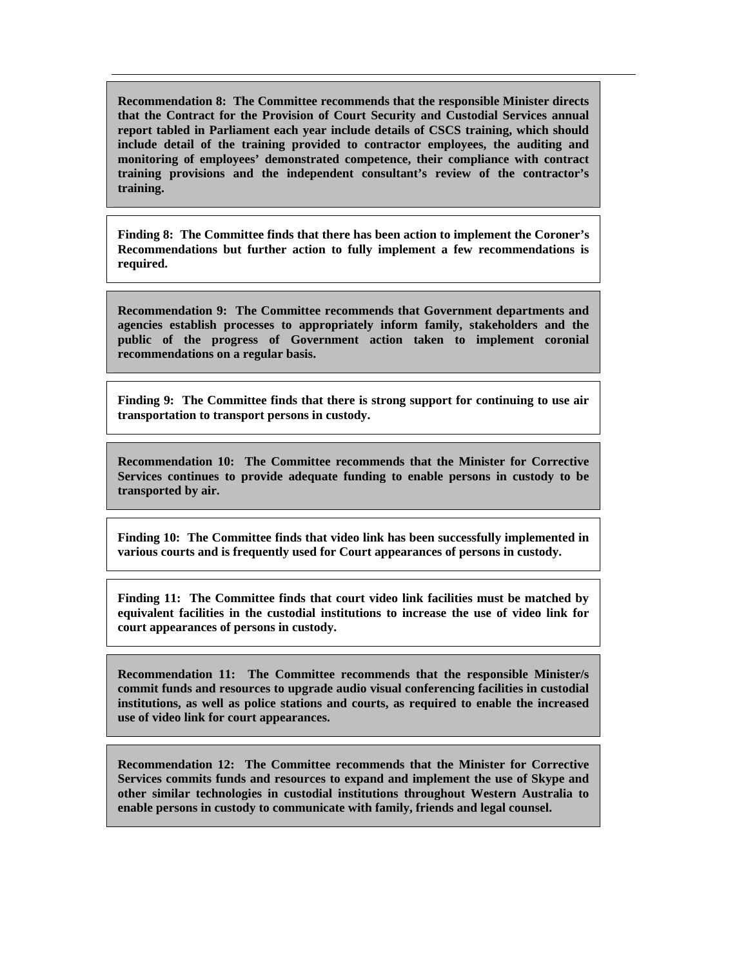**Recommendation 8: The Committee recommends that the responsible Minister directs that the Contract for the Provision of Court Security and Custodial Services annual report tabled in Parliament each year include details of CSCS training, which should include detail of the training provided to contractor employees, the auditing and monitoring of employees' demonstrated competence, their compliance with contract training provisions and the independent consultant's review of the contractor's training.** 

**Finding 8: The Committee finds that there has been action to implement the Coroner's Recommendations but further action to fully implement a few recommendations is required.** 

**Recommendation 9: The Committee recommends that Government departments and agencies establish processes to appropriately inform family, stakeholders and the public of the progress of Government action taken to implement coronial recommendations on a regular basis.** 

**Finding 9: The Committee finds that there is strong support for continuing to use air transportation to transport persons in custody.** 

**Recommendation 10: The Committee recommends that the Minister for Corrective Services continues to provide adequate funding to enable persons in custody to be transported by air.** 

**Finding 10: The Committee finds that video link has been successfully implemented in various courts and is frequently used for Court appearances of persons in custody.** 

**Finding 11: The Committee finds that court video link facilities must be matched by equivalent facilities in the custodial institutions to increase the use of video link for court appearances of persons in custody.** 

**Recommendation 11: The Committee recommends that the responsible Minister/s commit funds and resources to upgrade audio visual conferencing facilities in custodial institutions, as well as police stations and courts, as required to enable the increased use of video link for court appearances.** 

**Recommendation 12: The Committee recommends that the Minister for Corrective Services commits funds and resources to expand and implement the use of Skype and other similar technologies in custodial institutions throughout Western Australia to enable persons in custody to communicate with family, friends and legal counsel.**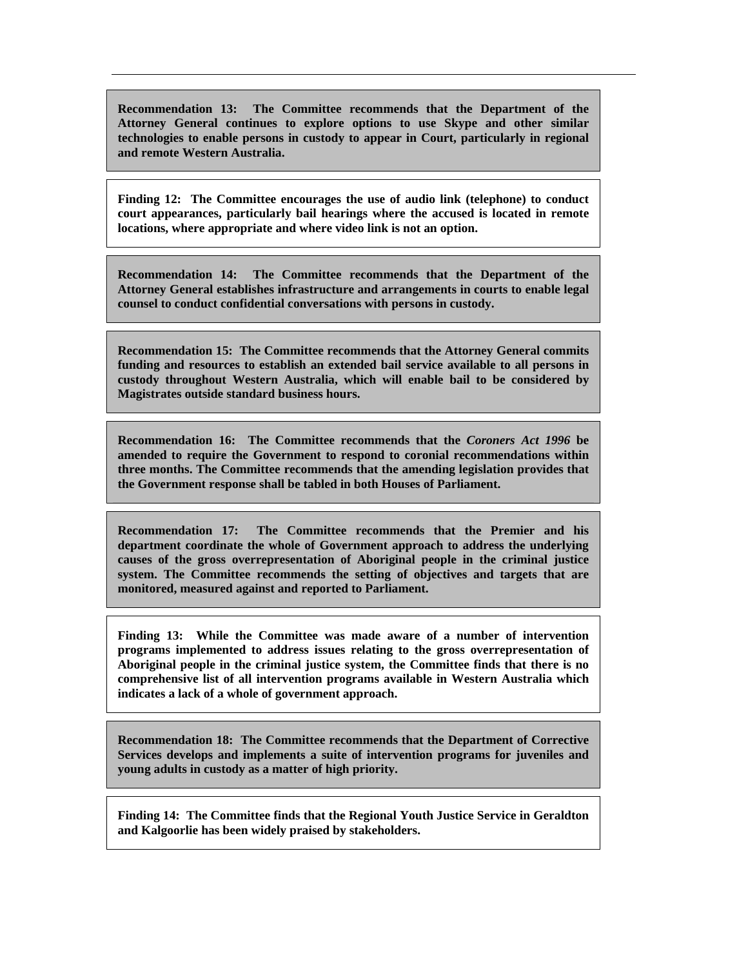**Recommendation 13: The Committee recommends that the Department of the Attorney General continues to explore options to use Skype and other similar technologies to enable persons in custody to appear in Court, particularly in regional and remote Western Australia.** 

**Finding 12: The Committee encourages the use of audio link (telephone) to conduct court appearances, particularly bail hearings where the accused is located in remote locations, where appropriate and where video link is not an option.** 

**Recommendation 14: The Committee recommends that the Department of the Attorney General establishes infrastructure and arrangements in courts to enable legal counsel to conduct confidential conversations with persons in custody.** 

**Recommendation 15: The Committee recommends that the Attorney General commits funding and resources to establish an extended bail service available to all persons in custody throughout Western Australia, which will enable bail to be considered by Magistrates outside standard business hours.** 

**Recommendation 16: The Committee recommends that the** *Coroners Act 1996* **be amended to require the Government to respond to coronial recommendations within three months. The Committee recommends that the amending legislation provides that the Government response shall be tabled in both Houses of Parliament.** 

**Recommendation 17: The Committee recommends that the Premier and his department coordinate the whole of Government approach to address the underlying causes of the gross overrepresentation of Aboriginal people in the criminal justice system. The Committee recommends the setting of objectives and targets that are monitored, measured against and reported to Parliament.** 

**Finding 13: While the Committee was made aware of a number of intervention programs implemented to address issues relating to the gross overrepresentation of Aboriginal people in the criminal justice system, the Committee finds that there is no comprehensive list of all intervention programs available in Western Australia which indicates a lack of a whole of government approach.** 

**Recommendation 18: The Committee recommends that the Department of Corrective Services develops and implements a suite of intervention programs for juveniles and young adults in custody as a matter of high priority.** 

**Finding 14: The Committee finds that the Regional Youth Justice Service in Geraldton and Kalgoorlie has been widely praised by stakeholders.**